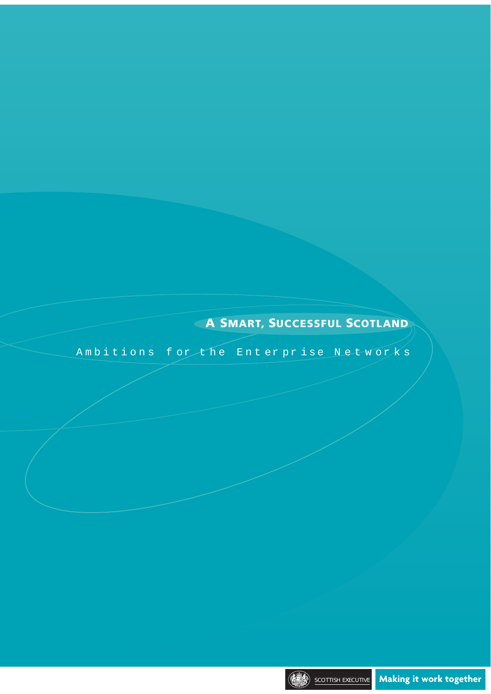## **A SMART, SUCCESSFUL SCOTLAND**

Ambitions for the Enterprise Networks

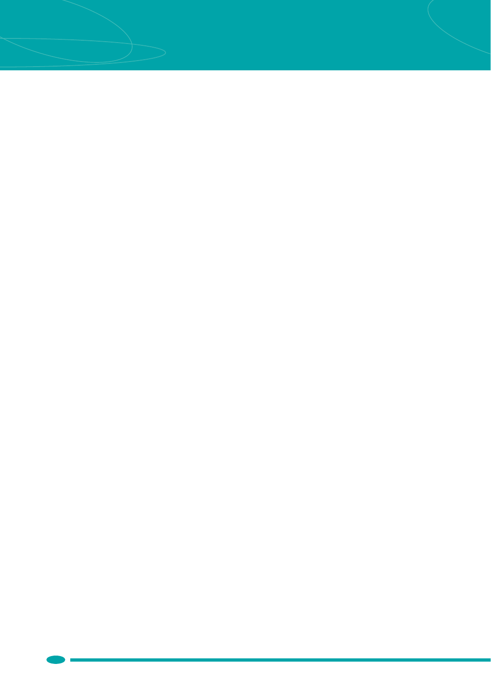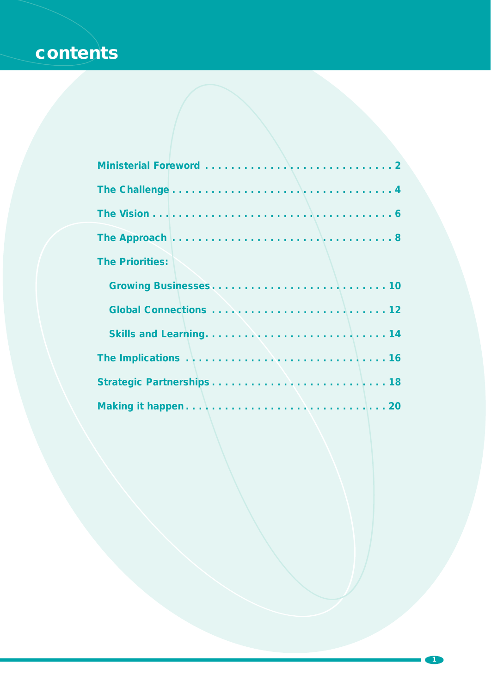# **contents**

| <b>The Priorities:</b>                                                                           |  |
|--------------------------------------------------------------------------------------------------|--|
|                                                                                                  |  |
|                                                                                                  |  |
|                                                                                                  |  |
| The Implications $\ldots$ , $\ldots$ , $\ldots$ , $\ldots$ , $\ldots$ , $\ldots$ , $\ldots$ , 16 |  |
|                                                                                                  |  |
|                                                                                                  |  |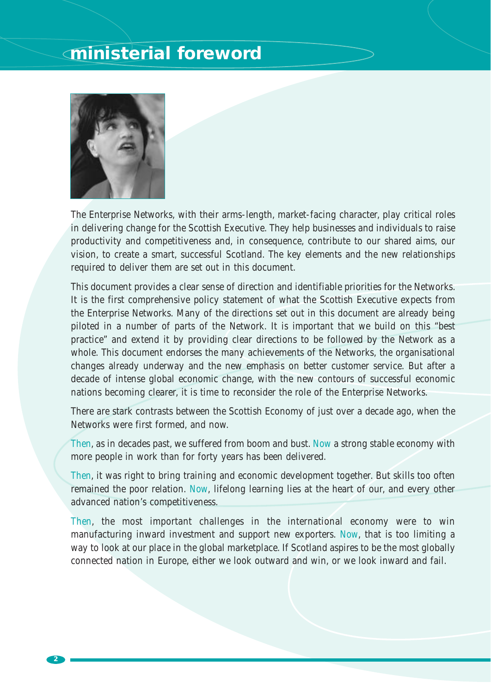## **ministerial foreword**



**2**

The Enterprise Networks, with their arms-length, market-facing character, play critical roles in delivering change for the Scottish Executive. They help businesses and individuals to raise productivity and competitiveness and, in consequence, contribute to our shared aims, our vision, to create a smart, successful Scotland. The key elements and the new relationships required to deliver them are set out in this document.

This document provides a clear sense of direction and identifiable priorities for the Networks. It is the first comprehensive policy statement of what the Scottish Executive expects from the Enterprise Networks. Many of the directions set out in this document are already being piloted in a number of parts of the Network. It is important that we build on this "best practice" and extend it by providing clear directions to be followed by the Network as a whole. This document endorses the many achievements of the Networks, the organisational changes already underway and the new emphasis on better customer service. But after a decade of intense global economic change, with the new contours of successful economic nations becoming clearer, it is time to reconsider the role of the Enterprise Networks.

There are stark contrasts between the Scottish Economy of just over a decade ago, when the Networks were first formed, and now.

*Then*, as in decades past, we suffered from boom and bust. *Now* a strong stable economy with more people in work than for forty years has been delivered.

*Then*, it was right to bring training and economic development together. But skills too often remained the poor relation. *Now*, lifelong learning lies at the heart of our, and every other advanced nation's competitiveness.

*Then*, the most important challenges in the international economy were to win manufacturing inward investment and support new exporters. *Now*, that is too limiting a way to look at our place in the global marketplace. If Scotland aspires to be the most globally connected nation in Europe, either we look outward and win, or we look inward and fail.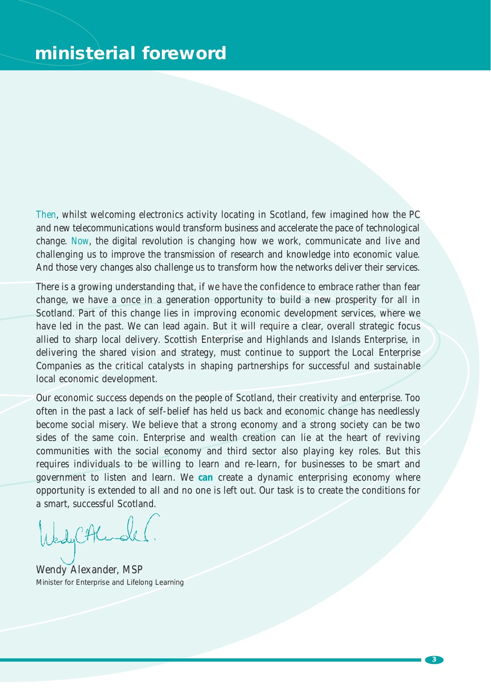*Then*, whilst welcoming electronics activity locating in Scotland, few imagined how the PC and new telecommunications would transform business and accelerate the pace of technological change. *Now*, the digital revolution is changing how we work, communicate and live and challenging us to improve the transmission of research and knowledge into economic value. And those very changes also challenge us to transform how the networks deliver their services.

There is a growing understanding that, if we have the confidence to embrace rather than fear change, we have a once in a generation opportunity to build a new prosperity for all in Scotland. Part of this change lies in improving economic development services, where we have led in the past. We can lead again. But it will require a clear, overall strategic focus allied to sharp local delivery. Scottish Enterprise and Highlands and Islands Enterprise, in delivering the shared vision and strategy, must continue to support the Local Enterprise Companies as the critical catalysts in shaping partnerships for successful and sustainable local economic development.

Our economic success depends on the people of Scotland, their creativity and enterprise. Too often in the past a lack of self-belief has held us back and economic change has needlessly become social misery. We believe that a strong economy and a strong society can be two sides of the same coin. Enterprise and wealth creation can lie at the heart of reviving communities with the social economy and third sector also playing key roles. But this requires individuals to be willing to learn and re-learn, for businesses to be smart and government to listen and learn. We **can** create a dynamic enterprising economy where opportunity is extended to all and no one is left out. Our task is to create the conditions for a smart, successful Scotland.

WedyCAlcode

Wendy Alexander, MSP Minister for Enterprise and Lifelong Learning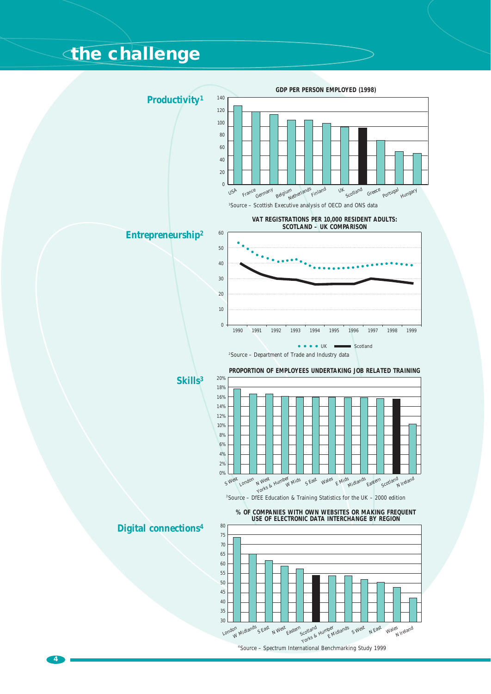## **the challenge**



4Source – Spectrum International Benchmarking Study 1999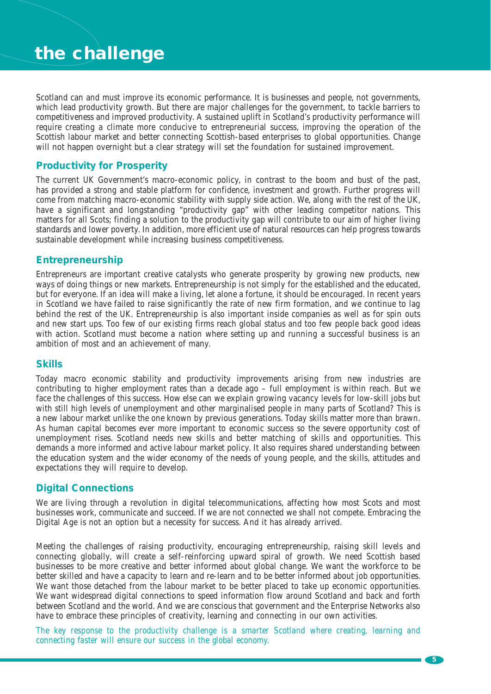Scotland can and must improve its economic performance. It is businesses and people, not governments, which lead productivity growth. But there are major challenges for the government, to tackle barriers to competitiveness and improved productivity. A sustained uplift in Scotland's productivity performance will require creating a climate more conducive to entrepreneurial success, improving the operation of the Scottish labour market and better connecting Scottish-based enterprises to global opportunities. Change will not happen overnight but a clear strategy will set the foundation for sustained improvement.

#### **Productivity for Prosperity**

The current UK Government's macro-economic policy, in contrast to the boom and bust of the past, has provided a strong and stable platform for confidence, investment and growth. Further progress will come from matching macro-economic stability with supply side action. We, along with the rest of the UK, have a significant and longstanding "productivity gap" with other leading competitor nations. This matters for all Scots; finding a solution to the productivity gap will contribute to our aim of higher living standards and lower poverty. In addition, more efficient use of natural resources can help progress towards sustainable development while increasing business competitiveness.

#### **Entrepreneurship**

Entrepreneurs are important creative catalysts who generate prosperity by growing new products, new ways of doing things or new markets. Entrepreneurship is not simply for the established and the educated, but for everyone. If an idea will make a living, let alone a fortune, it should be encouraged. In recent years in Scotland we have failed to raise significantly the rate of new firm formation, and we continue to lag behind the rest of the UK. Entrepreneurship is also important inside companies as well as for spin outs and new start ups. Too few of our existing firms reach global status and too few people back good ideas with action. Scotland must become a nation where setting up and running a successful business is an ambition of most and an achievement of many.

#### **Skills**

Today macro economic stability and productivity improvements arising from new industries are contributing to higher employment rates than a decade ago – full employment is within reach. But we face the challenges of this success. How else can we explain growing vacancy levels for low-skill jobs but with still high levels of unemployment and other marginalised people in many parts of Scotland? This is a new labour market unlike the one known by previous generations. Today skills matter more than brawn. As human capital becomes ever more important to economic success so the severe opportunity cost of unemployment rises. Scotland needs new skills and better matching of skills and opportunities. This demands a more informed and active labour market policy. It also requires shared understanding between the education system and the wider economy of the needs of young people, and the skills, attitudes and expectations they will require to develop.

#### **Digital Connections**

We are living through a revolution in digital telecommunications, affecting how most Scots and most businesses work, communicate and succeed. If we are not connected we shall not compete. Embracing the Digital Age is not an option but a necessity for success. And it has already arrived.

Meeting the challenges of raising productivity, encouraging entrepreneurship, raising skill levels and connecting globally, will create a self-reinforcing upward spiral of growth. We need Scottish based businesses to be more creative and better informed about global change. We want the workforce to be better skilled and have a capacity to learn and re-learn and to be better informed about job opportunities. We want those detached from the labour market to be better placed to take up economic opportunities. We want widespread digital connections to speed information flow around Scotland and back and forth between Scotland and the world. And we are conscious that government and the Enterprise Networks also have to embrace these principles of creativity, learning and connecting in our own activities.

*The key response to the productivity challenge is a smarter Scotland where creating, learning and connecting faster will ensure our success in the global economy.*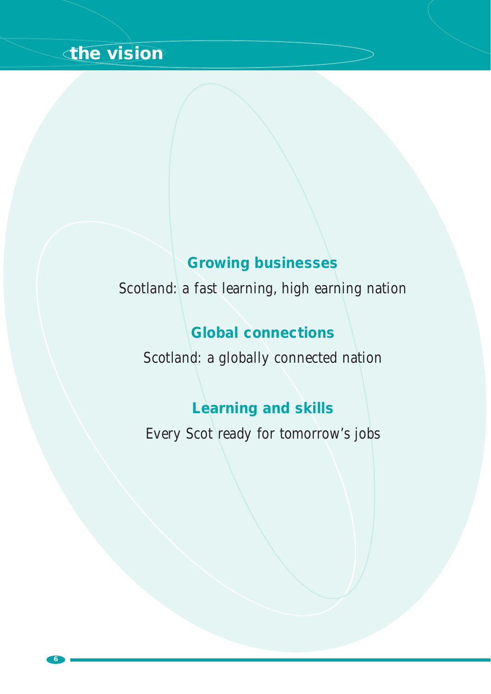# **Growing businesses** Scotland: a fast learning, high earning nation

# **Global connections** Scotland: a globally connected nation

## **Learning and skills**

Every Scot ready for tomorrow's jobs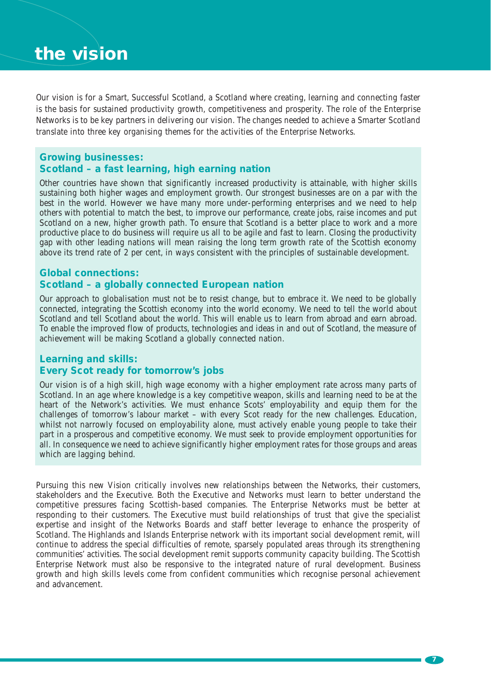Our vision is for a Smart, Successful Scotland, a Scotland where creating, learning and connecting faster is the basis for sustained productivity growth, competitiveness and prosperity. The role of the Enterprise Networks is to be key partners in delivering our vision. The changes needed to achieve a Smarter Scotland translate into three key organising themes for the activities of the Enterprise Networks.

#### **Growing businesses: Scotland – a fast learning, high earning nation**

Other countries have shown that significantly increased productivity is attainable, with higher skills sustaining both higher wages and employment growth. Our strongest businesses are on a par with the best in the world. However we have many more under-performing enterprises and we need to help others with potential to match the best, to improve our performance, create jobs, raise incomes and put Scotland on a new, higher growth path. To ensure that Scotland is a better place to work and a more productive place to do business will require us all to be agile and fast to learn. Closing the productivity gap with other leading nations will mean raising the long term growth rate of the Scottish economy above its trend rate of 2 per cent, in ways consistent with the principles of sustainable development.

## **Global connections: Scotland – a globally connected European nation**

Our approach to globalisation must not be to resist change, but to embrace it. We need to be globally connected, integrating the Scottish economy into the world economy. We need to tell the world about Scotland and tell Scotland about the world. This will enable us to learn from abroad and earn abroad. To enable the improved flow of products, technologies and ideas in and out of Scotland, the measure of achievement will be making Scotland a globally connected nation.

## **Learning and skills: Every Scot ready for tomorrow's jobs**

Our vision is of a high skill, high wage economy with a higher employment rate across many parts of Scotland. In an age where knowledge is a key competitive weapon, skills and learning need to be at the heart of the Network's activities. We must enhance Scots' employability and equip them for the challenges of tomorrow's labour market – with every Scot ready for the new challenges. Education, whilst not narrowly focused on employability alone, must actively enable young people to take their part in a prosperous and competitive economy. We must seek to provide employment opportunities for all. In consequence we need to achieve significantly higher employment rates for those groups and areas which are lagging behind.

Pursuing this new Vision critically involves new relationships between the Networks, their customers, stakeholders and the Executive. Both the Executive and Networks must learn to better understand the competitive pressures facing Scottish-based companies. The Enterprise Networks must be better at responding to their customers. The Executive must build relationships of trust that give the specialist expertise and insight of the Networks Boards and staff better leverage to enhance the prosperity of Scotland. The Highlands and Islands Enterprise network with its important social development remit, will continue to address the special difficulties of remote, sparsely populated areas through its strengthening communities' activities. The social development remit supports community capacity building. The Scottish Enterprise Network must also be responsive to the integrated nature of rural development. Business growth and high skills levels come from confident communities which recognise personal achievement and advancement.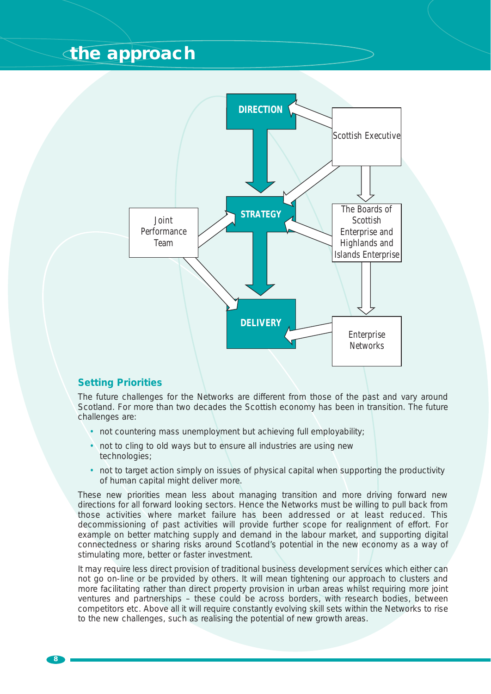## **the approach**



#### **Setting Priorities**

The future challenges for the Networks are different from those of the past and vary around Scotland. For more than two decades the Scottish economy has been in transition. The future challenges are:

- not countering mass unemployment but achieving full employability;
- not to cling to old ways but to ensure all industries are using new technologies;
- not to target action simply on issues of physical capital when supporting the productivity of human capital might deliver more.

These new priorities mean less about managing transition and more driving forward new directions for all forward looking sectors. Hence the Networks must be willing to pull back from those activities where market failure has been addressed or at least reduced. This decommissioning of past activities will provide further scope for realignment of effort. For example on better matching supply and demand in the labour market, and supporting digital connectedness or sharing risks around Scotland's potential in the new economy as a way of stimulating more, better or faster investment.

It may require less direct provision of traditional business development services which either can not go on-line or be provided by others. It will mean tightening our approach to clusters and more facilitating rather than direct property provision in urban areas whilst requiring more joint ventures and partnerships – these could be across borders, with research bodies, between competitors etc. Above all it will require constantly evolving skill sets within the Networks to rise to the new challenges, such as realising the potential of new growth areas.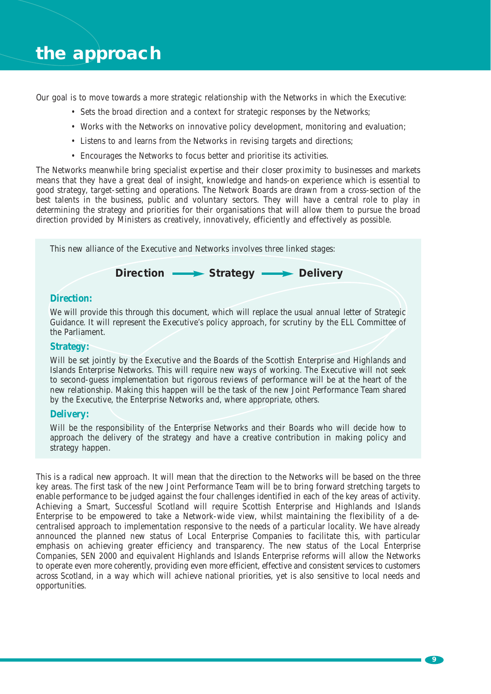Our goal is to move towards a more strategic relationship with the Networks in which the Executive:

- Sets the broad direction and a context for strategic responses by the Networks;
- Works with the Networks on innovative policy development, monitoring and evaluation;
- Listens to and learns from the Networks in revising targets and directions;
- Encourages the Networks to focus better and prioritise its activities.

The Networks meanwhile bring specialist expertise and their closer proximity to businesses and markets means that they have a great deal of insight, knowledge and hands-on experience which is essential to good strategy, target-setting and operations. The Network Boards are drawn from a cross-section of the best talents in the business, public and voluntary sectors. They will have a central role to play in determining the strategy and priorities for their organisations that will allow them to pursue the broad direction provided by Ministers as creatively, innovatively, efficiently and effectively as possible.

This new alliance of the Executive and Networks involves three linked stages:



#### **Direction:**

We will provide this through this document, which will replace the usual annual letter of Strategic Guidance. It will represent the Executive's policy approach, for scrutiny by the ELL Committee of the Parliament.

#### **Strategy:**

Will be set jointly by the Executive and the Boards of the Scottish Enterprise and Highlands and Islands Enterprise Networks. This will require new ways of working. The Executive will not seek to second-guess implementation but rigorous reviews of performance will be at the heart of the new relationship. Making this happen will be the task of the new Joint Performance Team shared by the Executive, the Enterprise Networks and, where appropriate, others.

#### **Delivery:**

Will be the responsibility of the Enterprise Networks and their Boards who will decide how to approach the delivery of the strategy and have a creative contribution in making policy and strategy happen.

This is a radical new approach. It will mean that the direction to the Networks will be based on the three key areas. The first task of the new Joint Performance Team will be to bring forward stretching targets to enable performance to be judged against the four challenges identified in each of the key areas of activity. Achieving a Smart, Successful Scotland will require Scottish Enterprise and Highlands and Islands Enterprise to be empowered to take a Network-wide view, whilst maintaining the flexibility of a decentralised approach to implementation responsive to the needs of a particular locality. We have already announced the planned new status of Local Enterprise Companies to facilitate this, with particular emphasis on achieving greater efficiency and transparency. The new status of the Local Enterprise Companies, SEN 2000 and equivalent Highlands and Islands Enterprise reforms will allow the Networks to operate even more coherently, providing even more efficient, effective and consistent services to customers across Scotland, in a way which will achieve national priorities, yet is also sensitive to local needs and opportunities.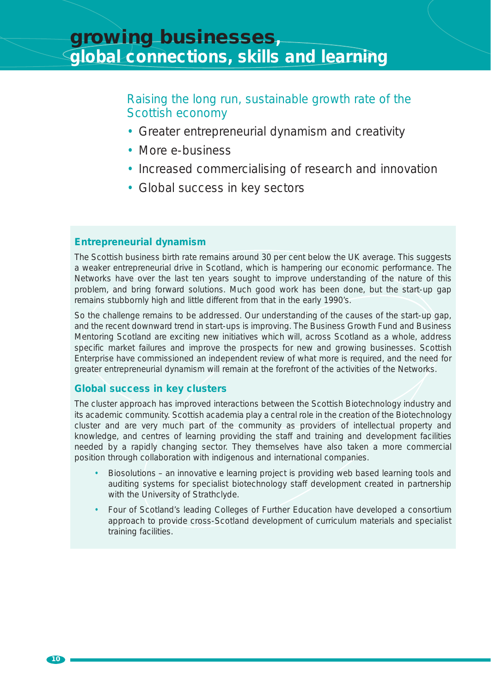Raising the long run, sustainable growth rate of the Scottish economy

- Greater entrepreneurial dynamism and creativity
- More e-business
- Increased commercialising of research and innovation
- Global success in key sectors

## **Entrepreneurial dynamism**

The Scottish business birth rate remains around 30 per cent below the UK average. This suggests a weaker entrepreneurial drive in Scotland, which is hampering our economic performance. The Networks have over the last ten years sought to improve understanding of the nature of this problem, and bring forward solutions. Much good work has been done, but the start-up gap remains stubbornly high and little different from that in the early 1990's.

So the challenge remains to be addressed. Our understanding of the causes of the start-up gap, and the recent downward trend in start-ups is improving. The Business Growth Fund and Business Mentoring Scotland are exciting new initiatives which will, across Scotland as a whole, address specific market failures and improve the prospects for new and growing businesses. Scottish Enterprise have commissioned an independent review of what more is required, and the need for greater entrepreneurial dynamism will remain at the forefront of the activities of the Networks.

## **Global success in key clusters**

The cluster approach has improved interactions between the Scottish Biotechnology industry and its academic community. Scottish academia play a central role in the creation of the Biotechnology cluster and are very much part of the community as providers of intellectual property and knowledge, and centres of learning providing the staff and training and development facilities needed by a rapidly changing sector. They themselves have also taken a more commercial position through collaboration with indigenous and international companies.

- Biosolutions an innovative e learning project is providing web based learning tools and auditing systems for specialist biotechnology staff development created in partnership with the University of Strathclyde.
- Four of Scotland's leading Colleges of Further Education have developed a consortium approach to provide cross-Scotland development of curriculum materials and specialist training facilities.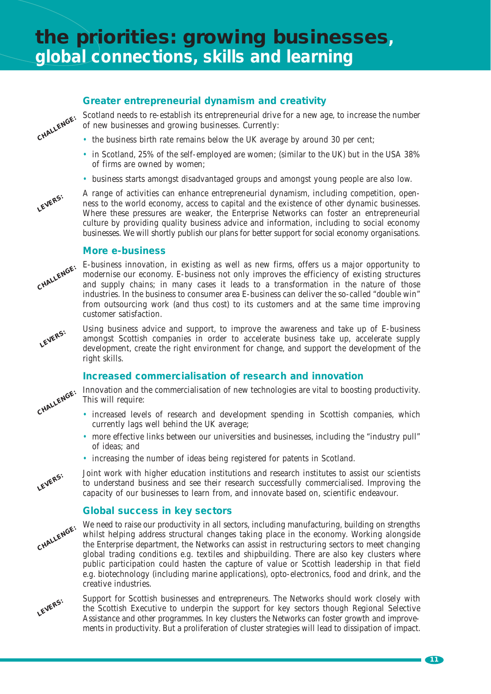## **the priorities: growing businesses, global connections, skills and learning**



#### **Greater entrepreneurial dynamism and creativity**

Scotland needs to re-establish its entrepreneurial drive for a new age, to increase the number of new businesses and growing businesses. Currently:

- the business birth rate remains below the UK average by around 30 per cent;
- in Scotland, 25% of the self-employed are women; (similar to the UK) but in the USA 38% of firms are owned by women;
- business starts amongst disadvantaged groups and amongst young people are also low.



A range of activities can enhance entrepreneurial dynamism, including competition, openness to the world economy, access to capital and the existence of other dynamic businesses. Where these pressures are weaker, the Enterprise Networks can foster an entrepreneurial culture by providing quality business advice and information, including to social economy businesses. We will shortly publish our plans for better support for social economy organisations.

#### **More e-business**

E-business innovation, in existing as well as new firms, offers us a major opportunity to modernise our economy. E-business not only improves the efficiency of existing structures and supply chains; in many cases it leads to a transformation in the nature of those industries. In the business to consumer area E-business can deliver the so-called "double win" from outsourcing work (and thus cost) to its customers and at the same time improving customer satisfaction.

**LEVERS:**

**CHALLENGE:**

Using business advice and support, to improve the awareness and take up of E-business amongst Scottish companies in order to accelerate business take up, accelerate supply development, create the right environment for change, and support the development of the right skills.

#### **Increased commercialisation of research and innovation**



- increased levels of research and development spending in Scottish companies, which currently lags well behind the UK average;
- more effective links between our universities and businesses, including the "industry pull" of ideas; and
- increasing the number of ideas being registered for patents in Scotland.

Joint work with higher education institutions and research institutes to assist our scientists to understand business and see their research successfully commercialised. Improving the capacity of our businesses to learn from, and innovate based on, scientific endeavour.

#### **Global success in key sectors**



We need to raise our productivity in all sectors, including manufacturing, building on strengths whilst helping address structural changes taking place in the economy. Working alongside the Enterprise department, the Networks can assist in restructuring sectors to meet changing global trading conditions e.g. textiles and shipbuilding. There are also key clusters where public participation could hasten the capture of value or Scottish leadership in that field e.g. biotechnology (including marine applications), opto-electronics, food and drink, and the creative industries.

Support for Scottish businesses and entrepreneurs. The Networks should work closely with the Scottish Executive to underpin the support for key sectors though Regional Selective Assistance and other programmes. In key clusters the Networks can foster growth and improvements in productivity. But a proliferation of cluster strategies will lead to dissipation of impact. **LEVERS:**



**LEVERS:**

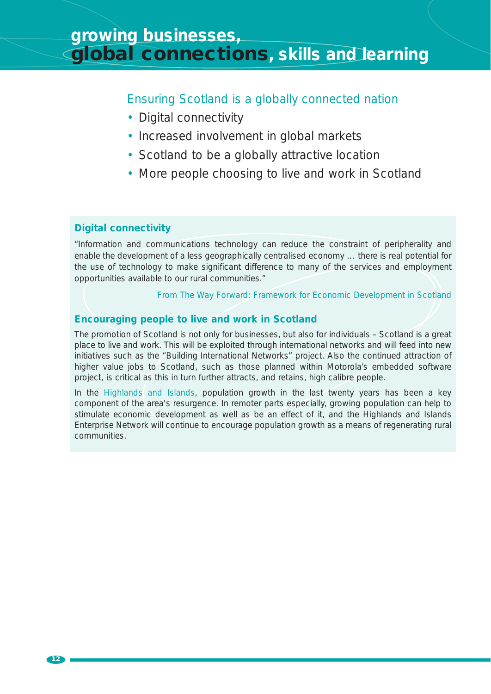## Ensuring Scotland is a globally connected nation

- Digital connectivity
- Increased involvement in global markets
- Scotland to be a globally attractive location
- More people choosing to live and work in Scotland

## **Digital connectivity**

"Information and communications technology can reduce the constraint of peripherality and enable the development of a less geographically centralised economy … there is real potential for the use of technology to make significant difference to many of the services and employment opportunities available to our rural communities."

#### From The Way Forward: Framework for Economic Development in Scotland

## **Encouraging people to live and work in Scotland**

The promotion of Scotland is not only for businesses, but also for individuals – Scotland is a great place to live and work. This will be exploited through international networks and will feed into new initiatives such as the "Building International Networks" project. Also the continued attraction of higher value jobs to Scotland, such as those planned within Motorola's embedded software project, is critical as this in turn further attracts, and retains, high calibre people.

In the Highlands and Islands, population growth in the last twenty years has been a key component of the area's resurgence. In remoter parts especially, growing population can help to stimulate economic development as well as be an effect of it, and the Highlands and Islands Enterprise Network will continue to encourage population growth as a means of regenerating rural communities.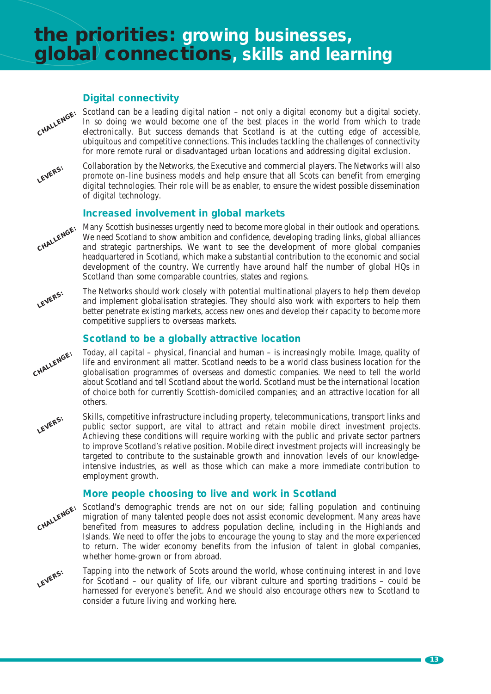### **Digital connectivity**

Scotland can be a leading digital nation – not only a digital economy but a digital society. In so doing we would become one of the best places in the world from which to trade electronically. But success demands that Scotland is at the cutting edge of accessible, ubiquitous and competitive connections. This includes tackling the challenges of connectivity for more remote rural or disadvantaged urban locations and addressing digital exclusion.

Collaboration by the Networks, the Executive and commercial players. The Networks will also promote on-line business models and help ensure that all Scots can benefit from emerging digital technologies. Their role will be as enabler, to ensure the widest possible dissemination of digital technology.

## **Increased involvement in global markets**

Many Scottish businesses urgently need to become more global in their outlook and operations. We need Scotland to show ambition and confidence, developing trading links, global alliances and strategic partnerships. We want to see the development of more global companies headquartered in Scotland, which make a substantial contribution to the economic and social development of the country. We currently have around half the number of global HQs in Scotland than some comparable countries, states and regions.

The Networks should work closely with potential multinational players to help them develop and implement globalisation strategies. They should also work with exporters to help them better penetrate existing markets, access new ones and develop their capacity to become more competitive suppliers to overseas markets.

## **Scotland to be a globally attractive location**

Today, all capital – physical, financial and human – is increasingly mobile. Image, quality of life and environment all matter. Scotland needs to be a world class business location for the globalisation programmes of overseas and domestic companies. We need to tell the world about Scotland and tell Scotland about the world. Scotland must be the international location of choice both for currently Scottish-domiciled companies; and an attractive location for all others.

Skills, competitive infrastructure including property, telecommunications, transport links and public sector support, are vital to attract and retain mobile direct investment projects. Achieving these conditions will require working with the public and private sector partners to improve Scotland's relative position. Mobile direct investment projects will increasingly be targeted to contribute to the sustainable growth and innovation levels of our knowledgeintensive industries, as well as those which can make a more immediate contribution to employment growth.

## **More people choosing to live and work in Scotland**

Scotland's demographic trends are not on our side; falling population and continuing migration of many talented people does not assist economic development. Many areas have benefited from measures to address population decline, including in the Highlands and Islands. We need to offer the jobs to encourage the young to stay and the more experienced to return. The wider economy benefits from the infusion of talent in global companies, whether home-grown or from abroad.

Tapping into the network of Scots around the world, whose continuing interest in and love for Scotland – our quality of life, our vibrant culture and sporting traditions – could be harnessed for everyone's benefit. And we should also encourage others new to Scotland to consider a future living and working here.



**LEVERS:**

**CHALLENGE:**

**LEVERS:**

**CHALLENGE:**







**CHALLENGE:**

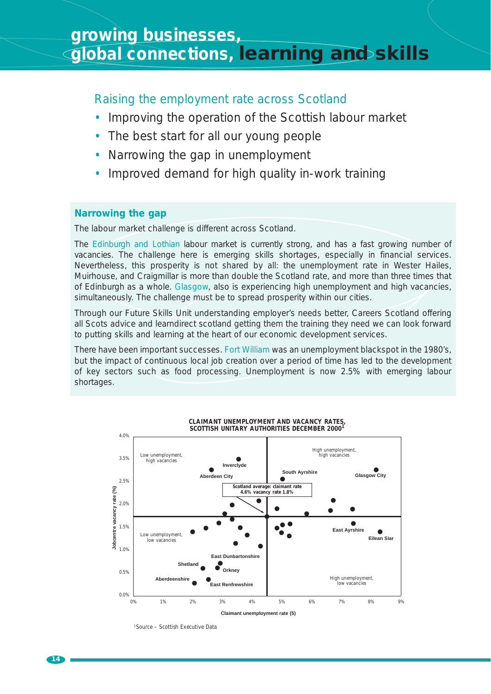## Raising the employment rate across Scotland

- Improving the operation of the Scottish labour market
- The best start for all our young people
- Narrowing the gap in unemployment
- Improved demand for high quality in-work training

## **Narrowing the gap**

The labour market challenge is different across Scotland.

The Edinburgh and Lothian labour market is currently strong, and has a fast growing number of vacancies. The challenge here is emerging skills shortages, especially in financial services. Nevertheless, this prosperity is not shared by all: the unemployment rate in Wester Hailes, Muirhouse, and Craigmillar is more than double the Scotland rate, and more than three times that of Edinburgh as a whole. Glasgow, also is experiencing high unemployment and high vacancies, simultaneously. The challenge must be to spread prosperity within our cities.

Through our Future Skills Unit understanding employer's needs better, Careers Scotland offering all Scots advice and *learndirect scotland* getting them the training they need we can look forward to putting skills and learning at the heart of our economic development services.

There have been important successes. Fort William was an unemployment blackspot in the 1980's, but the impact of continuous local job creation over a period of time has led to the development of key sectors such as food processing. Unemployment is now 2.5% with emerging labour shortages.



#### **CLAIMANT UNEMPLOYMENT AND VACANCY RATES, SCOTTISH UNITARY AUTHORITIES DECEMBER 20001**

1Source – Scottish Executive Data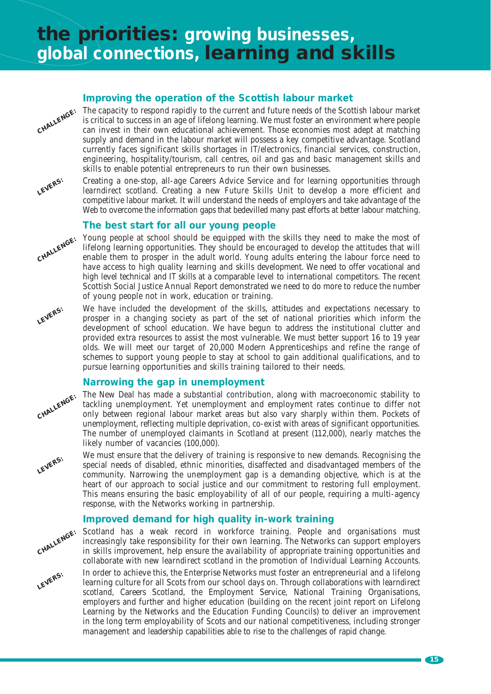### **Improving the operation of the Scottish labour market**

The capacity to respond rapidly to the current and future needs of the Scottish labour market is critical to success in an age of lifelong learning. We must foster an environment where people can invest in their own educational achievement. Those economies most adept at matching supply and demand in the labour market will possess a key competitive advantage. Scotland currently faces significant skills shortages in IT/electronics, financial services, construction, engineering, hospitality/tourism, call centres, oil and gas and basic management skills and skills to enable potential entrepreneurs to run their own businesses.

Creating a one-stop, all-age Careers Advice Service and for learning opportunities through *learndirect scotland*. Creating a new *Future Skills Unit* to develop a more efficient and competitive labour market. It will understand the needs of employers and take advantage of the Web to overcome the information gaps that bedevilled many past efforts at better labour matching.

## **The best start for all our young people**

Young people at school should be equipped with the skills they need to make the most of lifelong learning opportunities. They should be encouraged to develop the attitudes that will enable them to prosper in the adult world. Young adults entering the labour force need to have access to high quality learning and skills development. We need to offer vocational and high level technical and IT skills at a comparable level to international competitors. The recent Scottish Social Justice Annual Report demonstrated we need to do more to reduce the number of young people not in work, education or training.

We have included the development of the skills, attitudes and expectations necessary to prosper in a changing society as part of the set of national priorities which inform the development of school education. We have begun to address the institutional clutter and provided extra resources to assist the most vulnerable. We must better support 16 to 19 year olds. We will meet our target of 20,000 Modern Apprenticeships and refine the range of schemes to support young people to stay at school to gain additional qualifications, and to pursue learning opportunities and skills training tailored to their needs.

### **Narrowing the gap in unemployment**

The New Deal has made a substantial contribution, along with macroeconomic stability to tackling unemployment. Yet unemployment and employment rates continue to differ not only between regional labour market areas but also vary sharply within them. Pockets of unemployment, reflecting multiple deprivation, co-exist with areas of significant opportunities. The number of unemployed claimants in Scotland at present (112,000), nearly matches the likely number of vacancies (100,000).

We must ensure that the delivery of training is responsive to new demands. Recognising the special needs of disabled, ethnic minorities, disaffected and disadvantaged members of the community. Narrowing the unemployment gap is a demanding objective, which is at the heart of our approach to social justice and our commitment to restoring full employment. This means ensuring the basic employability of all of our people, requiring a multi-agency response, with the Networks working in partnership.

## **Improved demand for high quality in-work training**

Scotland has a weak record in workforce training. People and organisations must increasingly take responsibility for their own learning. The Networks can support employers in skills improvement, help ensure the availability of appropriate training opportunities and collaborate with new *learndirect scotland* in the promotion of Individual Learning Accounts.

In order to achieve this, the Enterprise Networks must foster an entrepreneurial and a lifelong learning culture for all Scots from our school days on. Through collaborations with *learndirect scotland*, Careers Scotland, the Employment Service, National Training Organisations, employers and further and higher education (building on the recent joint report on Lifelong Learning by the Networks and the Education Funding Councils) to deliver an improvement in the long term employability of Scots and our national competitiveness, including stronger management and leadership capabilities able to rise to the challenges of rapid change.





**CHALLENGE:**







**LEVERS:**

**CHALLENGE:**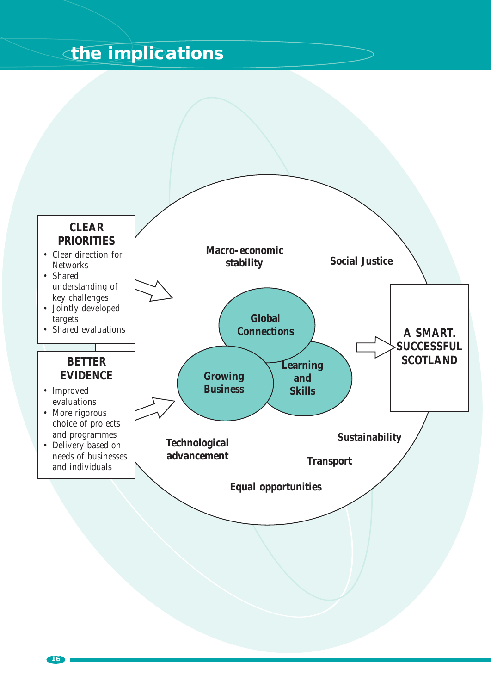## **the implications**

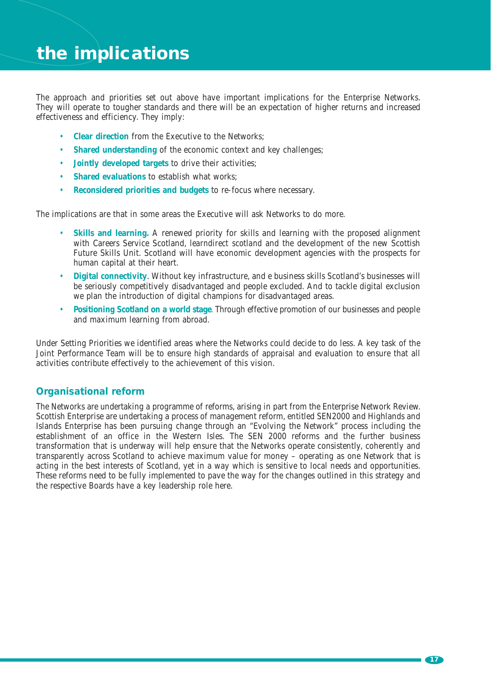The approach and priorities set out above have important implications for the Enterprise Networks. They will operate to tougher standards and there will be an expectation of higher returns and increased effectiveness and efficiency. They imply:

- **Clear direction** from the Executive to the Networks;
- **Shared understanding** of the economic context and key challenges;
- **Jointly developed targets** to drive their activities;
- **Shared evaluations** to establish what works;
- **Reconsidered priorities and budgets** to re-focus where necessary.

The implications are that in some areas the Executive will ask Networks to do more.

- **Skills and learning.** A renewed priority for skills and learning with the proposed alignment with Careers Service Scotland, *learndirect scotland* and the development of the new Scottish Future Skills Unit. Scotland will have economic development agencies with the prospects for human capital at their heart.
- **Digital connectivity**. Without key infrastructure, and e business skills Scotland's businesses will be seriously competitively disadvantaged and people excluded. And to tackle digital exclusion we plan the introduction of digital champions for disadvantaged areas.
- **Positioning Scotland on a world stage**. Through effective promotion of our businesses and people and maximum learning from abroad.

Under Setting Priorities we identified areas where the Networks could decide to do less. A key task of the Joint Performance Team will be to ensure high standards of appraisal and evaluation to ensure that all activities contribute effectively to the achievement of this vision.

#### **Organisational reform**

The Networks are undertaking a programme of reforms, arising in part from the Enterprise Network Review. Scottish Enterprise are undertaking a process of management reform, entitled SEN2000 and Highlands and Islands Enterprise has been pursuing change through an "Evolving the Network" process including the establishment of an office in the Western Isles. The SEN 2000 reforms and the further business transformation that is underway will help ensure that the Networks operate consistently, coherently and transparently across Scotland to achieve maximum value for money – operating as one Network that is acting in the best interests of Scotland, yet in a way which is sensitive to local needs and opportunities. These reforms need to be fully implemented to pave the way for the changes outlined in this strategy and the respective Boards have a key leadership role here.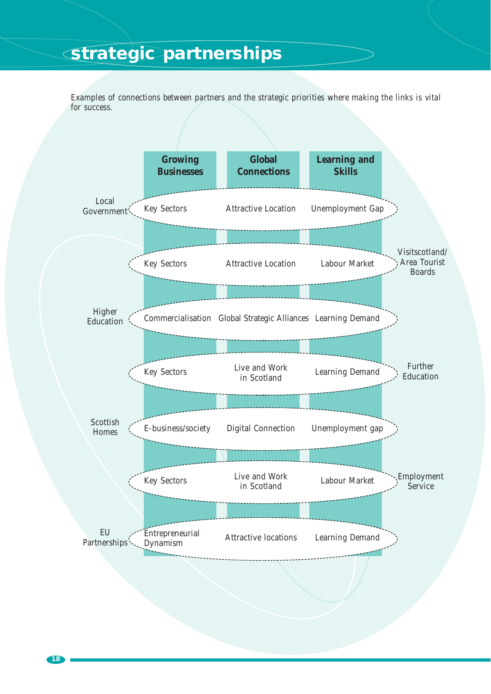## **strategic partnerships**

*Examples of connections between partners and the strategic priorities where making the links is vital for success.*

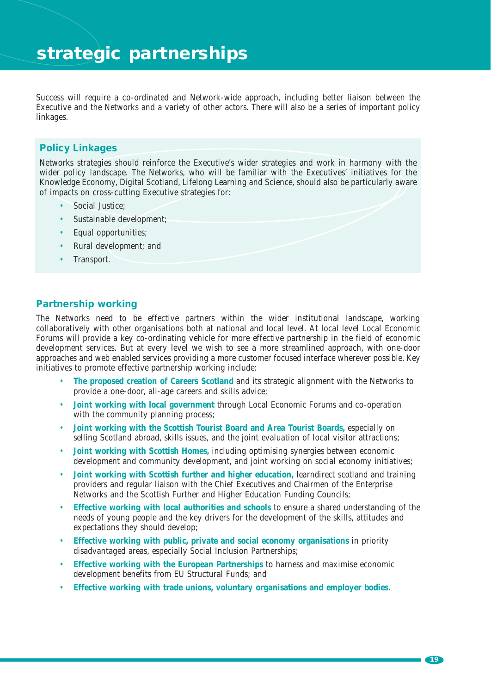Success will require a co-ordinated and Network-wide approach, including better liaison between the Executive and the Networks and a variety of other actors. There will also be a series of important policy linkages.

## **Policy Linkages**

Networks strategies should reinforce the Executive's wider strategies and work in harmony with the wider policy landscape. The Networks, who will be familiar with the Executives' initiatives for the Knowledge Economy, Digital Scotland, Lifelong Learning and Science, should also be particularly aware of impacts on cross-cutting Executive strategies for:

- Social Justice;
- Sustainable development;
- Equal opportunities;
- Rural development; and
- Transport.

#### **Partnership working**

The Networks need to be effective partners within the wider institutional landscape, working collaboratively with other organisations both at national and local level. At local level Local Economic Forums will provide a key co-ordinating vehicle for more effective partnership in the field of economic development services. But at every level we wish to see a more streamlined approach, with one-door approaches and web enabled services providing a more customer focused interface wherever possible. Key initiatives to promote effective partnership working include:

- **The proposed creation of Careers Scotland** and its strategic alignment with the Networks to provide a one-door, all-age careers and skills advice;
- **Joint working with local government** through Local Economic Forums and co-operation with the community planning process;
- **Joint working with the Scottish Tourist Board and Area Tourist Boards,** especially on selling Scotland abroad, skills issues, and the joint evaluation of local visitor attractions;
- **Joint working with Scottish Homes,** including optimising synergies between economic development and community development, and joint working on social economy initiatives;
- **Joint working with Scottish further and higher education,** *learndirect scotland* and training providers and regular liaison with the Chief Executives and Chairmen of the Enterprise Networks and the Scottish Further and Higher Education Funding Councils;
- **Effective working with local authorities and schools** to ensure a shared understanding of the needs of young people and the key drivers for the development of the skills, attitudes and expectations they should develop;
- **Effective working with public, private and social economy organisations** in priority disadvantaged areas, especially Social Inclusion Partnerships;
- **Effective working with the European Partnerships** to harness and maximise economic development benefits from EU Structural Funds; and
- **Effective working with trade unions, voluntary organisations and employer bodies.**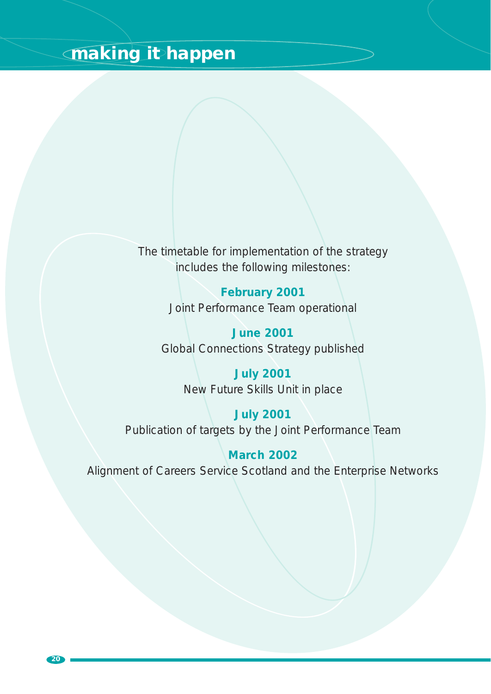## **making it happen**

The timetable for implementation of the strategy includes the following milestones:

> **February 2001** Joint Performance Team operational

**June 2001** Global Connections Strategy published

> **July 2001** New Future Skills Unit in place

**July 2001** Publication of targets by the Joint Performance Team

**March 2002** Alignment of Careers Service Scotland and the Enterprise Networks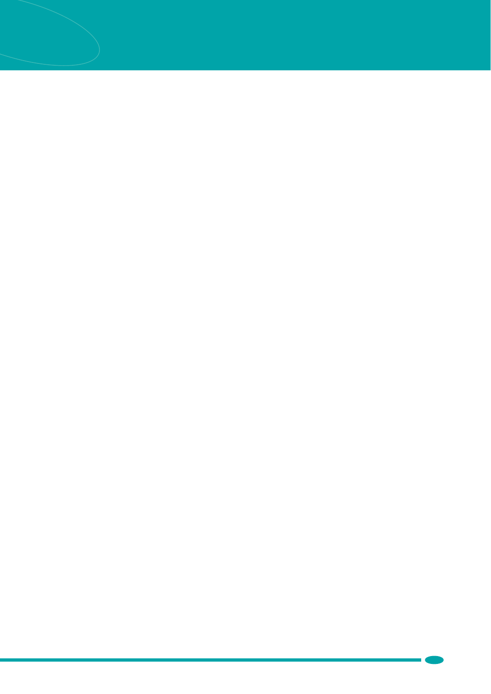